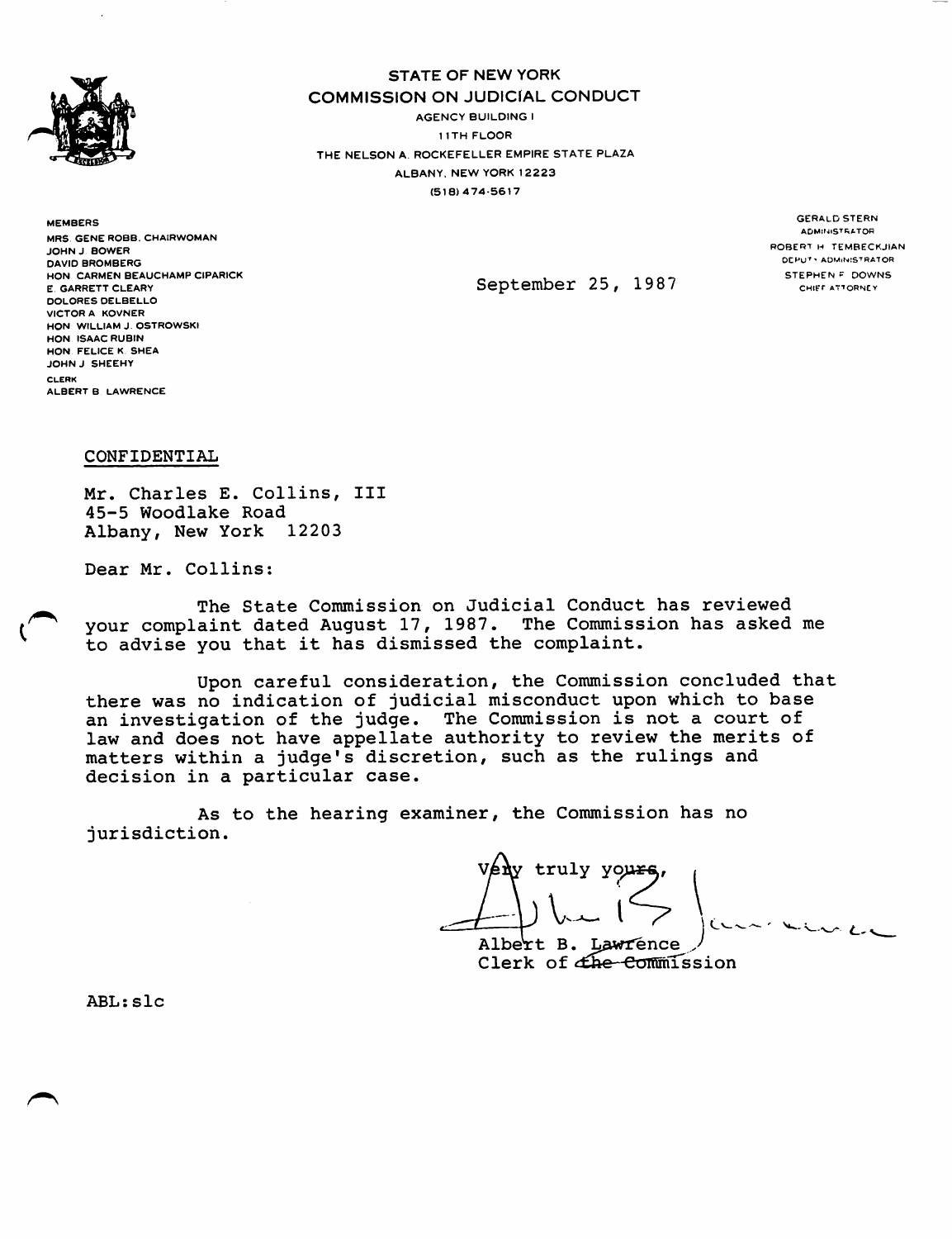

STATE OF NEW YORK COMMISSION ON JUDICIAL CONDUCT

**AGENCY BUILDING I** 11 TH FLOOR THE NELSON A. ROCKEFELLER EMPIRE STATE PLAZA ALBANY, NEW YORK 12223 (518)474-5617

**MEMBERS** MRS. GENE ROBB. CHAIRWOMAN JOHN J. BOWER DAVID BROMBERG HON CARMEN BEAUCHAMP CIPARICK **E. GARRETT CLEARY** DOLORES DELBELLO VICTOR A KOVNER HON WILLIAM J. OSTROWSKI HON. ISAAC RUBIN HON. FELICE K. SHEA JOHN J SHEEHY CLERK ALBERT B. LAWRENCE

September 25, 1987

GERALD STERN ADMINISTRATOR ROBERT H. TEMBECKJIAN DEPUTY ADMINISTRATOR STEPHEN F DOWNS CHIFF ATTORNEY

CONFIDENTIAL

Mr. Charles E. Collins, III 45-5 Woodlake Road Albany, New York 12203

Dear Mr. Collins:

The State Commission on Judicial Conduct has reviewed your complaint dated August 17, 1987. The Commission has asked me to advise you that it has dismissed the complaint.

U pon careful consideration, the Commission concided that<br>there was no indication of judicial misconduct upon which to base an investigation of the judge. The Commission is not a court of law and does not have appellate authority to review the merits of matters within a judge's discretion, such as the rulings and decision in a particular case.

As to the hearing examiner, the Commission has no jurisdiction.

vAy truly yqjA^L, < I  $-1$ Albert B. Lawrence  $\sqrt{}$ 

Clerk of <del>che Comm</del>ission

ABL:sic